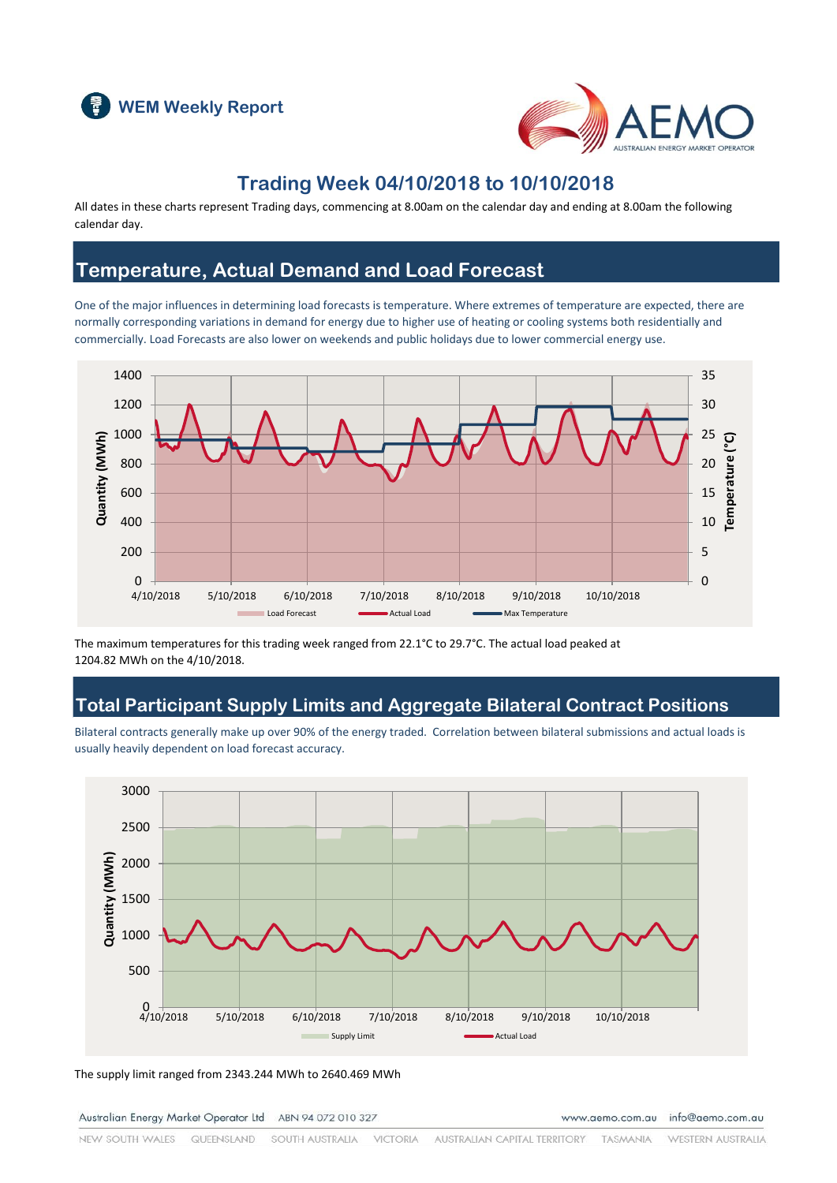



### **Trading Week 04/10/2018 to 10/10/2018**

All dates in these charts represent Trading days, commencing at 8.00am on the calendar day and ending at 8.00am the following calendar day.

#### **Temperature, Actual Demand and Load Forecast**

One of the major influences in determining load forecasts is temperature. Where extremes of temperature are expected, there are normally corresponding variations in demand for energy due to higher use of heating or cooling systems both residentially and commercially. Load Forecasts are also lower on weekends and public holidays due to lower commercial energy use.



The maximum temperatures for this trading week ranged from 22.1°C to 29.7°C. The actual load peaked at 1204.82 MWh on the 4/10/2018.

### **Total Participant Supply Limits and Aggregate Bilateral Contract Positions**

Bilateral contracts generally make up over 90% of the energy traded. Correlation between bilateral submissions and actual loads is usually heavily dependent on load forecast accuracy.



The supply limit ranged from 2343.244 MWh to 2640.469 MWh

Australian Energy Market Operator Ltd ABN 94 072 010 327

www.aemo.com.au info@aemo.com.au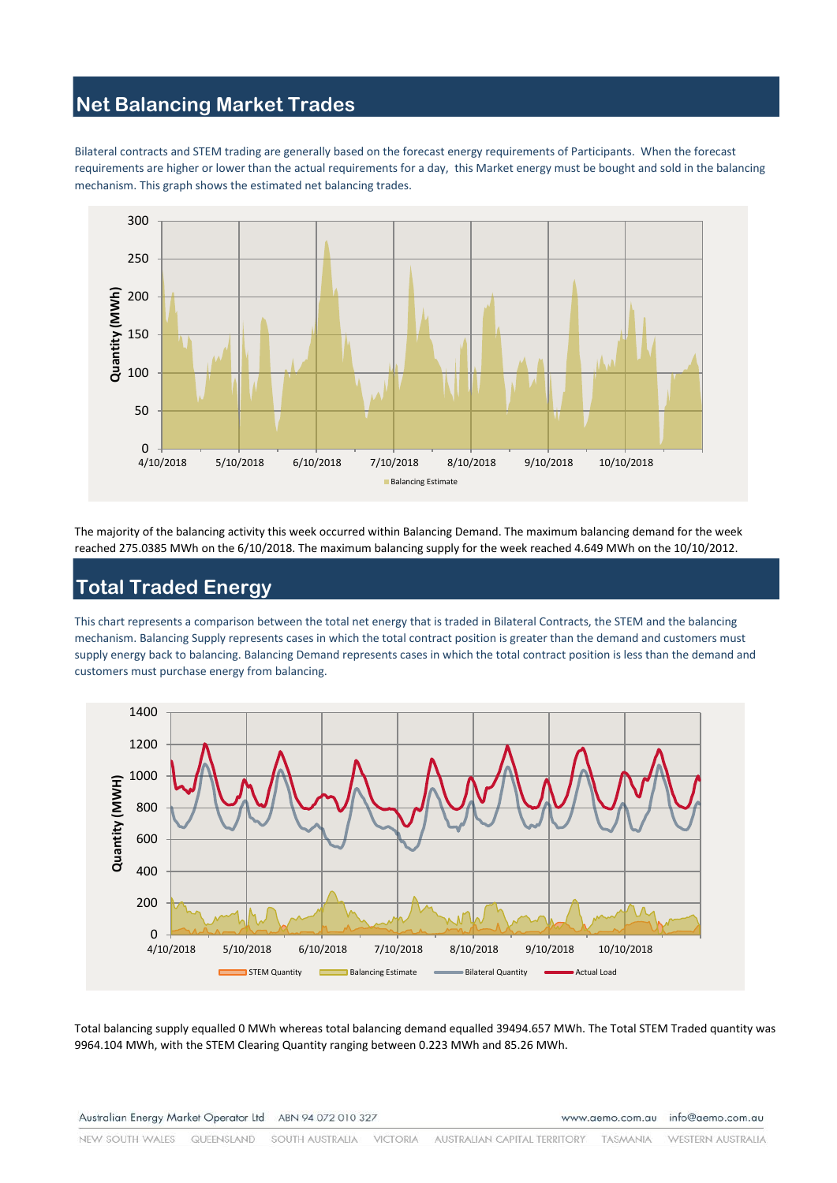# **Net Balancing Market Trades**

Bilateral contracts and STEM trading are generally based on the forecast energy requirements of Participants. When the forecast requirements are higher or lower than the actual requirements for a day, this Market energy must be bought and sold in the balancing mechanism. This graph shows the estimated net balancing trades.



The majority of the balancing activity this week occurred within Balancing Demand. The maximum balancing demand for the week reached 275.0385 MWh on the 6/10/2018. The maximum balancing supply for the week reached 4.649 MWh on the 10/10/2012.

### **Total Traded Energy**

This chart represents a comparison between the total net energy that is traded in Bilateral Contracts, the STEM and the balancing mechanism. Balancing Supply represents cases in which the total contract position is greater than the demand and customers must supply energy back to balancing. Balancing Demand represents cases in which the total contract position is less than the demand and customers must purchase energy from balancing.



Total balancing supply equalled 0 MWh whereas total balancing demand equalled 39494.657 MWh. The Total STEM Traded quantity was 9964.104 MWh, with the STEM Clearing Quantity ranging between 0.223 MWh and 85.26 MWh.